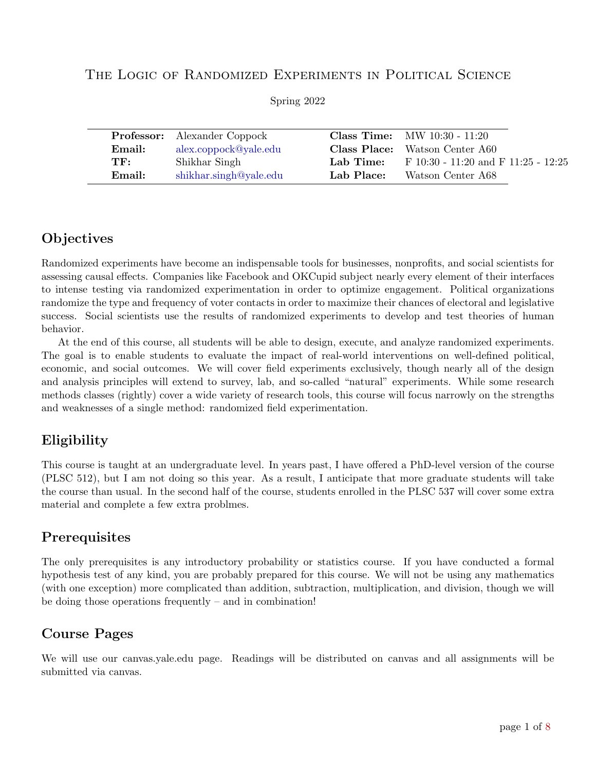#### The Logic of Randomized Experiments in Political Science

|                        |                                     | <b>Class Time:</b> MW $10:30 - 11:20$   |
|------------------------|-------------------------------------|-----------------------------------------|
| alex.coppock@yale.edu  | Class Place:                        | Watson Center A60                       |
| Shikhar Singh          | Lab Time:                           | F $10:30 - 11:20$ and F $11:25 - 12:25$ |
| shikhar.singh@yale.edu | Lab Place:                          | Watson Center A68                       |
|                        | <b>Professor:</b> Alexander Coppock |                                         |

Spring 2022

# **Objectives**

Randomized experiments have become an indispensable tools for businesses, nonprofits, and social scientists for assessing causal effects. Companies like Facebook and OKCupid subject nearly every element of their interfaces to intense testing via randomized experimentation in order to optimize engagement. Political organizations randomize the type and frequency of voter contacts in order to maximize their chances of electoral and legislative success. Social scientists use the results of randomized experiments to develop and test theories of human behavior.

At the end of this course, all students will be able to design, execute, and analyze randomized experiments. The goal is to enable students to evaluate the impact of real-world interventions on well-defined political, economic, and social outcomes. We will cover field experiments exclusively, though nearly all of the design and analysis principles will extend to survey, lab, and so-called "natural" experiments. While some research methods classes (rightly) cover a wide variety of research tools, this course will focus narrowly on the strengths and weaknesses of a single method: randomized field experimentation.

# Eligibility

This course is taught at an undergraduate level. In years past, I have offered a PhD-level version of the course (PLSC 512), but I am not doing so this year. As a result, I anticipate that more graduate students will take the course than usual. In the second half of the course, students enrolled in the PLSC 537 will cover some extra material and complete a few extra problmes.

## Prerequisites

The only prerequisites is any introductory probability or statistics course. If you have conducted a formal hypothesis test of any kind, you are probably prepared for this course. We will not be using any mathematics (with one exception) more complicated than addition, subtraction, multiplication, and division, though we will be doing those operations frequently – and in combination!

## Course Pages

We will use our canvas.yale.edu page. Readings will be distributed on canvas and all assignments will be submitted via canvas.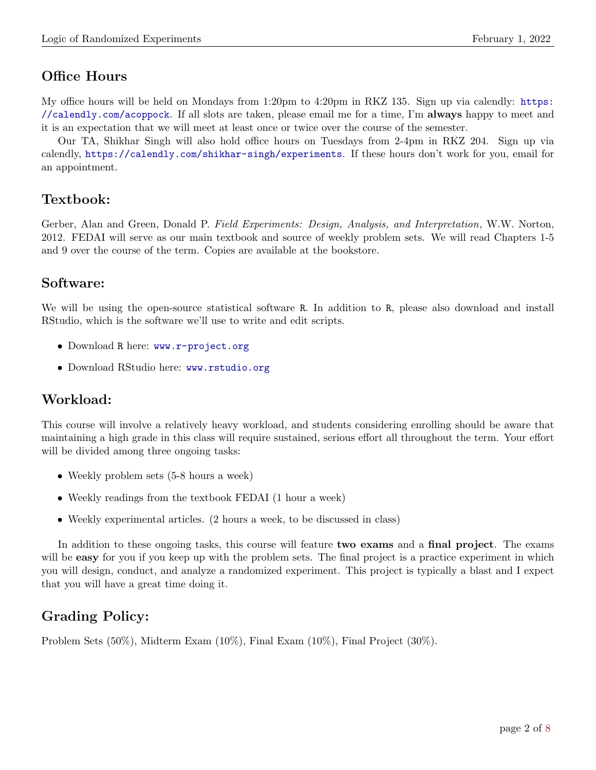# Office Hours

My office hours will be held on Mondays from 1:20pm to 4:20pm in RKZ 135. Sign up via calendly: [https:](https://calendly.com/acoppock) [//calendly.com/acoppock](https://calendly.com/acoppock). If all slots are taken, please email me for a time, I'm always happy to meet and it is an expectation that we will meet at least once or twice over the course of the semester.

Our TA, Shikhar Singh will also hold office hours on Tuesdays from 2-4pm in RKZ 204. Sign up via calendly, <https://calendly.com/shikhar-singh/experiments>. If these hours don't work for you, email for an appointment.

# Textbook:

Gerber, Alan and Green, Donald P. Field Experiments: Design, Analysis, and Interpretation, W.W. Norton, 2012. FEDAI will serve as our main textbook and source of weekly problem sets. We will read Chapters 1-5 and 9 over the course of the term. Copies are available at the bookstore.

## Software:

We will be using the open-source statistical software R. In addition to R, please also download and install RStudio, which is the software we'll use to write and edit scripts.

- Download R here: <www.r-project.org>
- Download RStudio here: <www.rstudio.org>

# Workload:

This course will involve a relatively heavy workload, and students considering enrolling should be aware that maintaining a high grade in this class will require sustained, serious effort all throughout the term. Your effort will be divided among three ongoing tasks:

- Weekly problem sets (5-8 hours a week)
- Weekly readings from the textbook FEDAI (1 hour a week)
- Weekly experimental articles. (2 hours a week, to be discussed in class)

In addition to these ongoing tasks, this course will feature two exams and a final project. The exams will be **easy** for you if you keep up with the problem sets. The final project is a practice experiment in which you will design, conduct, and analyze a randomized experiment. This project is typically a blast and I expect that you will have a great time doing it.

# Grading Policy:

Problem Sets (50%), Midterm Exam (10%), Final Exam (10%), Final Project (30%).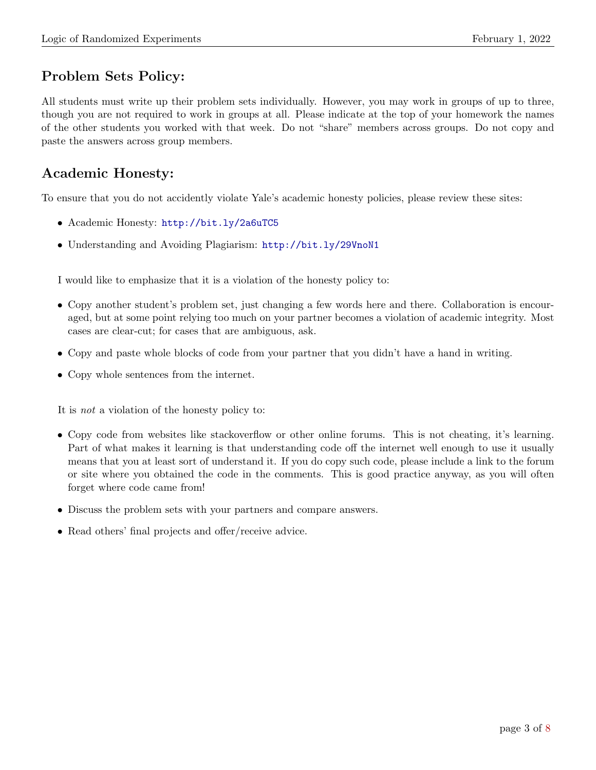# Problem Sets Policy:

All students must write up their problem sets individually. However, you may work in groups of up to three, though you are not required to work in groups at all. Please indicate at the top of your homework the names of the other students you worked with that week. Do not "share" members across groups. Do not copy and paste the answers across group members.

# Academic Honesty:

To ensure that you do not accidently violate Yale's academic honesty policies, please review these sites:

- Academic Honesty: <http://bit.ly/2a6uTC5>
- Understanding and Avoiding Plagiarism: <http://bit.ly/29VnoN1>

I would like to emphasize that it is a violation of the honesty policy to:

- Copy another student's problem set, just changing a few words here and there. Collaboration is encouraged, but at some point relying too much on your partner becomes a violation of academic integrity. Most cases are clear-cut; for cases that are ambiguous, ask.
- Copy and paste whole blocks of code from your partner that you didn't have a hand in writing.
- Copy whole sentences from the internet.

It is not a violation of the honesty policy to:

- Copy code from websites like stackoverflow or other online forums. This is not cheating, it's learning. Part of what makes it learning is that understanding code off the internet well enough to use it usually means that you at least sort of understand it. If you do copy such code, please include a link to the forum or site where you obtained the code in the comments. This is good practice anyway, as you will often forget where code came from!
- Discuss the problem sets with your partners and compare answers.
- Read others' final projects and offer/receive advice.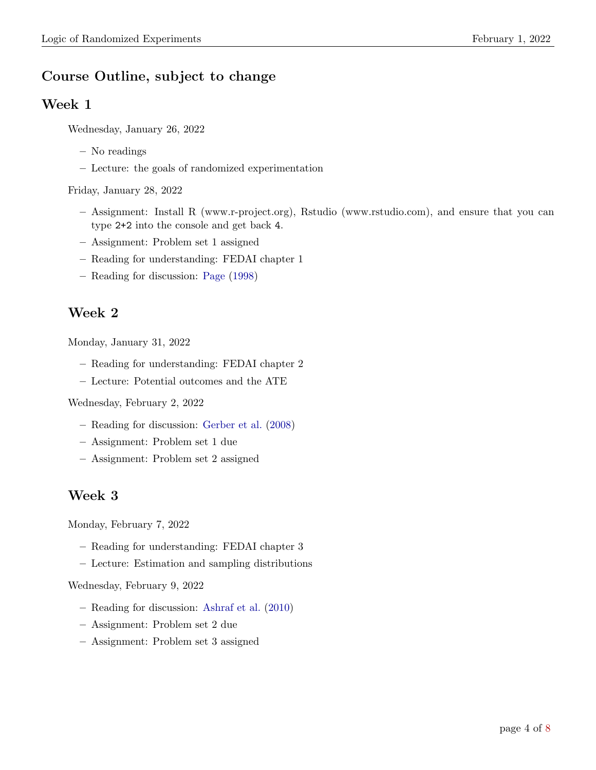# <span id="page-3-0"></span>Course Outline, subject to change

#### Week 1

Wednesday, January 26, 2022

- No readings
- Lecture: the goals of randomized experimentation

Friday, January 28, 2022

- Assignment: Install R (www.r-project.org), Rstudio (www.rstudio.com), and ensure that you can type 2+2 into the console and get back 4.
- Assignment: Problem set 1 assigned
- Reading for understanding: FEDAI chapter 1
- Reading for discussion: [Page](#page-7-1) [\(1998\)](#page-7-1)

#### Week 2

Monday, January 31, 2022

- Reading for understanding: FEDAI chapter 2
- Lecture: Potential outcomes and the ATE

Wednesday, February 2, 2022

- Reading for discussion: [Gerber et al.](#page-7-2) [\(2008\)](#page-7-2)
- Assignment: Problem set 1 due
- Assignment: Problem set 2 assigned

#### Week 3

Monday, February 7, 2022

- Reading for understanding: FEDAI chapter 3
- Lecture: Estimation and sampling distributions

#### Wednesday, February 9, 2022

- Reading for discussion: [Ashraf et al.](#page-7-3) [\(2010\)](#page-7-3)
- Assignment: Problem set 2 due
- Assignment: Problem set 3 assigned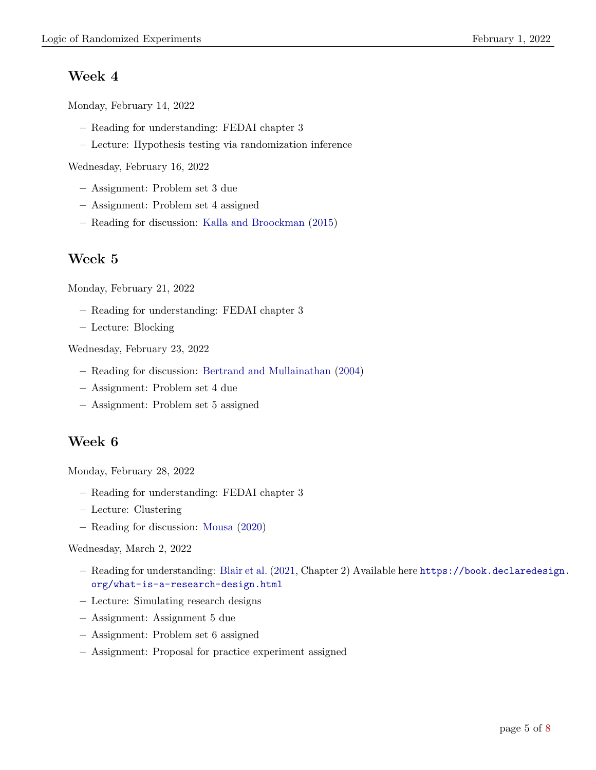### <span id="page-4-0"></span>Week 4

Monday, February 14, 2022

- Reading for understanding: FEDAI chapter 3
- Lecture: Hypothesis testing via randomization inference

Wednesday, February 16, 2022

- Assignment: Problem set 3 due
- Assignment: Problem set 4 assigned
- Reading for discussion: [Kalla and Broockman](#page-7-4) [\(2015\)](#page-7-4)

### Week 5

Monday, February 21, 2022

- Reading for understanding: FEDAI chapter 3
- Lecture: Blocking

Wednesday, February 23, 2022

- Reading for discussion: [Bertrand and Mullainathan](#page-7-5) [\(2004\)](#page-7-5)
- Assignment: Problem set 4 due
- Assignment: Problem set 5 assigned

#### Week 6

Monday, February 28, 2022

- Reading for understanding: FEDAI chapter 3
- Lecture: Clustering
- Reading for discussion: [Mousa](#page-7-6) [\(2020\)](#page-7-6)

#### Wednesday, March 2, 2022

- Reading for understanding: [Blair et al.](#page-7-7) [\(2021,](#page-7-7) Chapter 2) Available here [https://book.declaredesig](https://book.declaredesign.org/what-is-a-research-design.html)n. [org/what-is-a-research-design.html](https://book.declaredesign.org/what-is-a-research-design.html)
- Lecture: Simulating research designs
- Assignment: Assignment 5 due
- Assignment: Problem set 6 assigned
- Assignment: Proposal for practice experiment assigned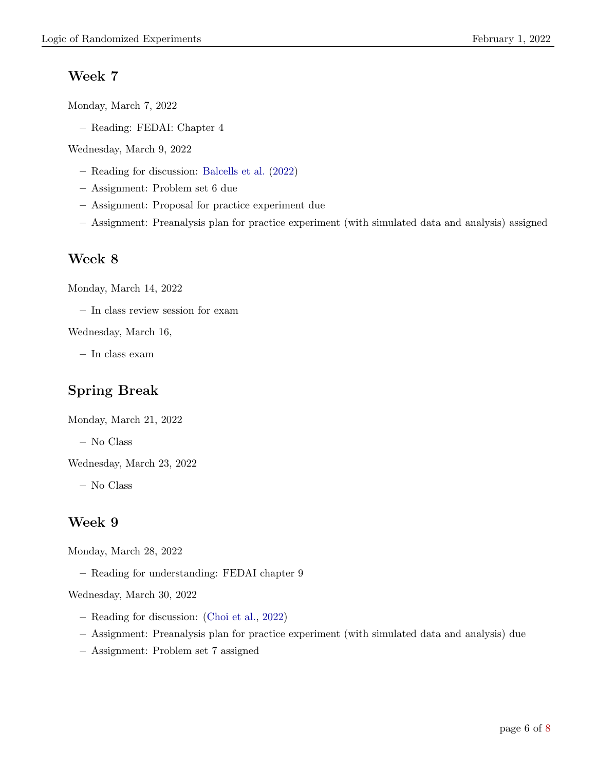#### <span id="page-5-0"></span>Week 7

Monday, March 7, 2022

– Reading: FEDAI: Chapter 4

Wednesday, March 9, 2022

- Reading for discussion: [Balcells et al.](#page-7-8) [\(2022\)](#page-7-8)
- Assignment: Problem set 6 due
- Assignment: Proposal for practice experiment due
- Assignment: Preanalysis plan for practice experiment (with simulated data and analysis) assigned

#### Week 8

Monday, March 14, 2022

– In class review session for exam

Wednesday, March 16,

– In class exam

## Spring Break

Monday, March 21, 2022

– No Class

Wednesday, March 23, 2022

– No Class

#### Week 9

Monday, March 28, 2022

– Reading for understanding: FEDAI chapter 9

Wednesday, March 30, 2022

- Reading for discussion: [\(Choi et al.,](#page-7-9) [2022\)](#page-7-9)
- Assignment: Preanalysis plan for practice experiment (with simulated data and analysis) due
- Assignment: Problem set 7 assigned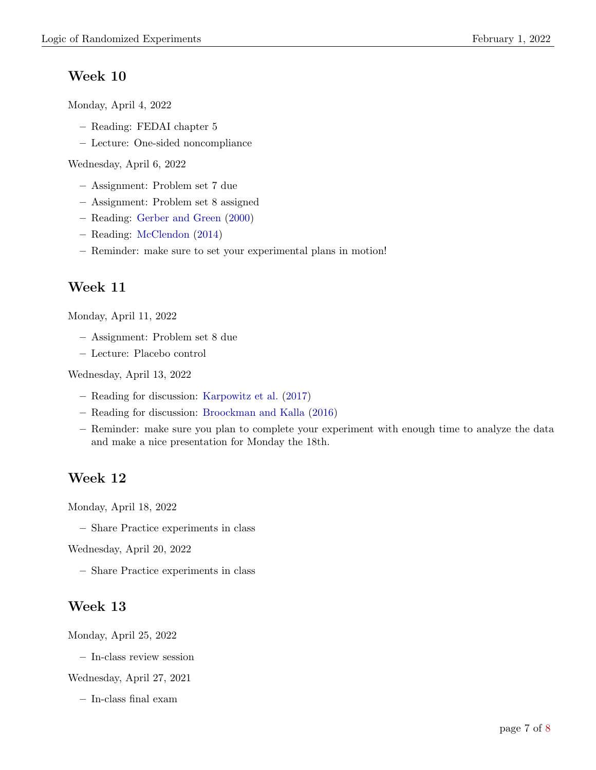# <span id="page-6-0"></span>Week 10

Monday, April 4, 2022

- Reading: FEDAI chapter 5
- Lecture: One-sided noncompliance

Wednesday, April 6, 2022

- Assignment: Problem set 7 due
- Assignment: Problem set 8 assigned
- Reading: [Gerber and Green](#page-7-10) [\(2000\)](#page-7-10)
- Reading: [McClendon](#page-7-11) [\(2014\)](#page-7-11)
- Reminder: make sure to set your experimental plans in motion!

## Week 11

Monday, April 11, 2022

- Assignment: Problem set 8 due
- Lecture: Placebo control

Wednesday, April 13, 2022

- Reading for discussion: [Karpowitz et al.](#page-7-12) [\(2017\)](#page-7-12)
- Reading for discussion: [Broockman and Kalla](#page-7-13) [\(2016\)](#page-7-13)
- Reminder: make sure you plan to complete your experiment with enough time to analyze the data and make a nice presentation for Monday the 18th.

## Week 12

Monday, April 18, 2022

– Share Practice experiments in class

Wednesday, April 20, 2022

– Share Practice experiments in class

## Week 13

Monday, April 25, 2022

– In-class review session

Wednesday, April 27, 2021

– In-class final exam